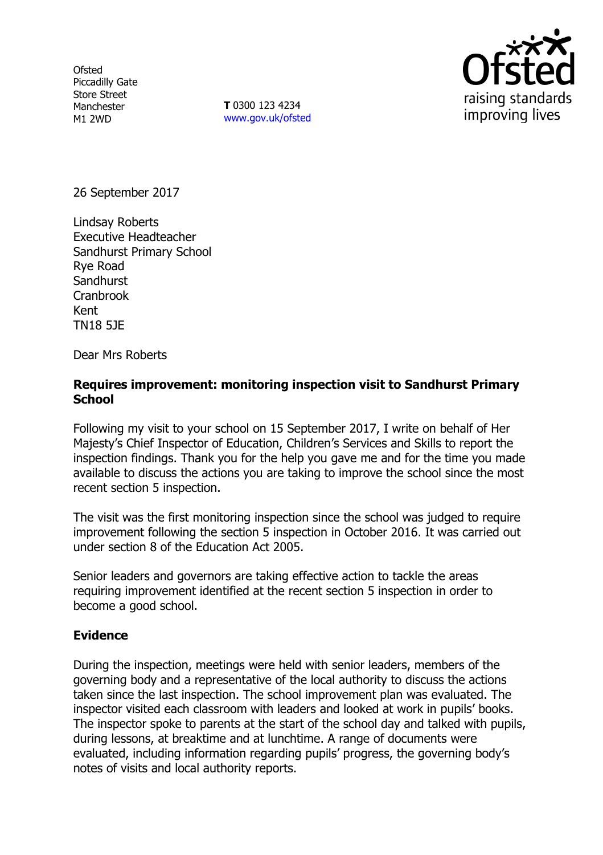**Ofsted** Piccadilly Gate Store Street Manchester M1 2WD

**T** 0300 123 4234 www.gov.uk/ofsted



26 September 2017

Lindsay Roberts Executive Headteacher Sandhurst Primary School Rye Road **Sandhurst** Cranbrook Kent TN18 5JE

Dear Mrs Roberts

### **Requires improvement: monitoring inspection visit to Sandhurst Primary School**

Following my visit to your school on 15 September 2017, I write on behalf of Her Majesty's Chief Inspector of Education, Children's Services and Skills to report the inspection findings. Thank you for the help you gave me and for the time you made available to discuss the actions you are taking to improve the school since the most recent section 5 inspection.

The visit was the first monitoring inspection since the school was judged to require improvement following the section 5 inspection in October 2016. It was carried out under section 8 of the Education Act 2005.

Senior leaders and governors are taking effective action to tackle the areas requiring improvement identified at the recent section 5 inspection in order to become a good school.

## **Evidence**

During the inspection, meetings were held with senior leaders, members of the governing body and a representative of the local authority to discuss the actions taken since the last inspection. The school improvement plan was evaluated. The inspector visited each classroom with leaders and looked at work in pupils' books. The inspector spoke to parents at the start of the school day and talked with pupils, during lessons, at breaktime and at lunchtime. A range of documents were evaluated, including information regarding pupils' progress, the governing body's notes of visits and local authority reports.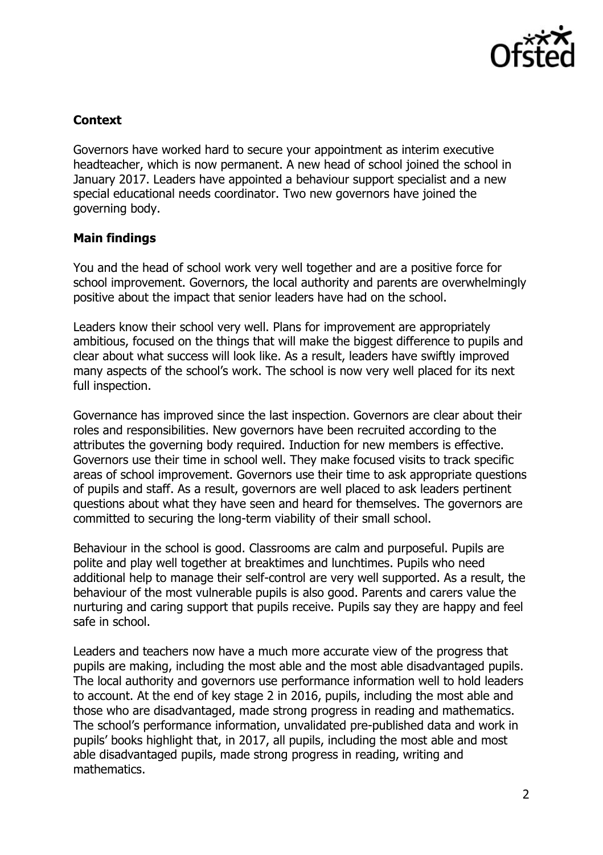

# **Context**

Governors have worked hard to secure your appointment as interim executive headteacher, which is now permanent. A new head of school joined the school in January 2017. Leaders have appointed a behaviour support specialist and a new special educational needs coordinator. Two new governors have joined the governing body.

## **Main findings**

You and the head of school work very well together and are a positive force for school improvement. Governors, the local authority and parents are overwhelmingly positive about the impact that senior leaders have had on the school.

Leaders know their school very well. Plans for improvement are appropriately ambitious, focused on the things that will make the biggest difference to pupils and clear about what success will look like. As a result, leaders have swiftly improved many aspects of the school's work. The school is now very well placed for its next full inspection.

Governance has improved since the last inspection. Governors are clear about their roles and responsibilities. New governors have been recruited according to the attributes the governing body required. Induction for new members is effective. Governors use their time in school well. They make focused visits to track specific areas of school improvement. Governors use their time to ask appropriate questions of pupils and staff. As a result, governors are well placed to ask leaders pertinent questions about what they have seen and heard for themselves. The governors are committed to securing the long-term viability of their small school.

Behaviour in the school is good. Classrooms are calm and purposeful. Pupils are polite and play well together at breaktimes and lunchtimes. Pupils who need additional help to manage their self-control are very well supported. As a result, the behaviour of the most vulnerable pupils is also good. Parents and carers value the nurturing and caring support that pupils receive. Pupils say they are happy and feel safe in school.

Leaders and teachers now have a much more accurate view of the progress that pupils are making, including the most able and the most able disadvantaged pupils. The local authority and governors use performance information well to hold leaders to account. At the end of key stage 2 in 2016, pupils, including the most able and those who are disadvantaged, made strong progress in reading and mathematics. The school's performance information, unvalidated pre-published data and work in pupils' books highlight that, in 2017, all pupils, including the most able and most able disadvantaged pupils, made strong progress in reading, writing and mathematics.